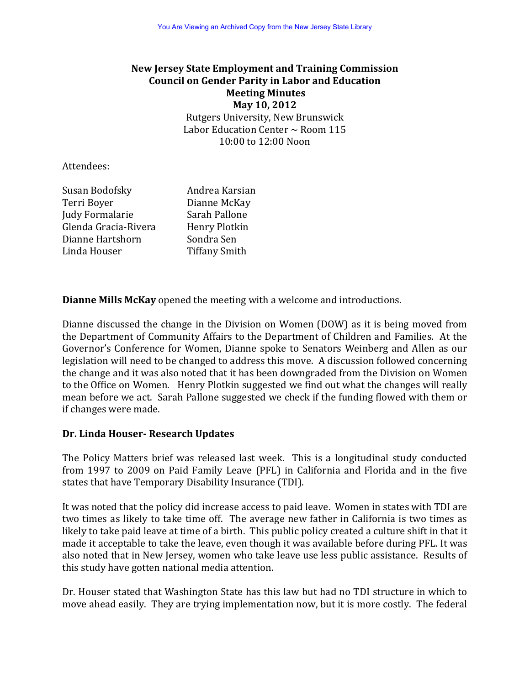# **New Jersey State Employment and Training Commission Council on Gender Parity in Labor and Education Meeting Minutes May 10, 2012** Rutgers University, New Brunswick Labor Education Center  $\sim$  Room 115  $10:00$  to  $12:00$  Noon

#### Attendees:

| Susan Bodofsky       | Andrea Karsian       |  |
|----------------------|----------------------|--|
| Terri Boyer          | Dianne McKay         |  |
| Judy Formalarie      | Sarah Pallone        |  |
| Glenda Gracia-Rivera | Henry Plotkin        |  |
| Dianne Hartshorn     | Sondra Sen           |  |
| Linda Houser         | <b>Tiffany Smith</b> |  |

**Dianne Mills McKay** opened the meeting with a welcome and introductions.

Dianne discussed the change in the Division on Women (DOW) as it is being moved from the Department of Community Affairs to the Department of Children and Families. At the Governor's Conference for Women, Dianne spoke to Senators Weinberg and Allen as our legislation will need to be changed to address this move. A discussion followed concerning the change and it was also noted that it has been downgraded from the Division on Women to the Office on Women. Henry Plotkin suggested we find out what the changes will really mean before we act. Sarah Pallone suggested we check if the funding flowed with them or if changes were made.

### **Dr. Linda Houser‐ Research Updates**

The Policy Matters brief was released last week. This is a longitudinal study conducted from 1997 to 2009 on Paid Family Leave (PFL) in California and Florida and in the five states that have Temporary Disability Insurance (TDI).

It was noted that the policy did increase access to paid leave. Women in states with TDI are two times as likely to take time off. The average new father in California is two times as likely to take paid leave at time of a birth. This public policy created a culture shift in that it made it acceptable to take the leave, even though it was available before during PFL. It was also noted that in New Jersey, women who take leave use less public assistance. Results of this study have gotten national media attention.

Dr. Houser stated that Washington State has this law but had no TDI structure in which to move ahead easily. They are trying implementation now, but it is more costly. The federal